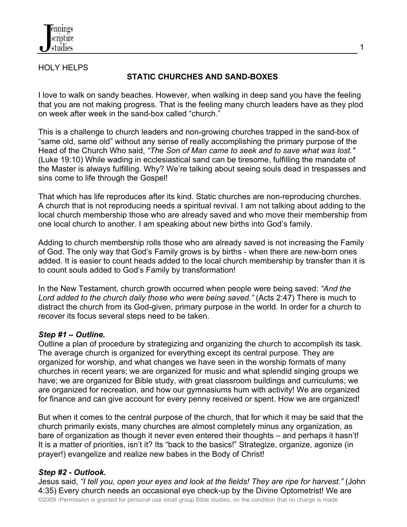

## HOLY HELPS

# **STATIC CHURCHES AND SAND-BOXES**

I love to walk on sandy beaches. However, when walking in deep sand you have the feeling that you are not making progress. That is the feeling many church leaders have as they plod on week after week in the sand-box called "church."

This is a challenge to church leaders and non-growing churches trapped in the sand-box of "same old, same old" without any sense of really accomplishing the primary purpose of the Head of the Church Who said, *"The Son of Man came to seek and to save what was lost."* (Luke 19:10) While wading in ecclesiastical sand can be tiresome, fulfilling the mandate of the Master is always fulfilling. Why? We're talking about seeing souls dead in trespasses and sins come to life through the Gospel!

That which has life reproduces after its kind. Static churches are non-reproducing churches. A church that is not reproducing needs a spiritual revival. I am not talking about adding to the local church membership those who are already saved and who move their membership from one local church to another. I am speaking about new births into God's family.

Adding to church membership rolls those who are already saved is not increasing the Family of God. The only way that God's Family grows is by births - when there are new-born ones added. It is easier to count heads added to the local church membership by transfer than it is to count souls added to God's Family by transformation!

In the New Testament, church growth occurred when people were being saved: *"And the Lord added to the church daily those who were being saved."* (Acts 2:47) There is much to distract the church from its God-given, primary purpose in the world. In order for a church to recover its focus several steps need to be taken.

## *Step #1 – Outline.*

Outline a plan of procedure by strategizing and organizing the church to accomplish its task. The average church is organized for everything except its central purpose. They are organized for worship, and what changes we have seen in the worship formats of many churches in recent years; we are organized for music and what splendid singing groups we have; we are organized for Bible study, with great classroom buildings and curriculums; we are organized for recreation, and how our gymnasiums hum with activity! We are organized for finance and can give account for every penny received or spent. How we are organized!

But when it comes to the central purpose of the church, that for which it may be said that the church primarily exists, many churches are almost completely minus any organization, as bare of organization as though it never even entered their thoughts – and perhaps it hasn't! It is a matter of priorities, isn't it? Its "back to the basics!" Strategize, organize, agonize (in prayer!) evangelize and realize new babes in the Body of Christ!

## *Step #2 - Outlook.*

©2009 -Permission is granted for personal use small group Bible studies, on the condition that no charge is made. Jesus said, *"I tell you, open your eyes and look at the fields! They are ripe for harvest."* (John 4:35) Every church needs an occasional eye check-up by the Divine Optometrist! We are

1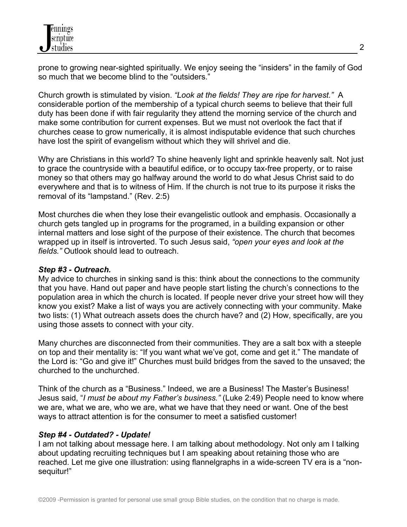prone to growing near-sighted spiritually. We enjoy seeing the "insiders" in the family of God so much that we become blind to the "outsiders."

Church growth is stimulated by vision. *"Look at the fields! They are ripe for harvest."* A considerable portion of the membership of a typical church seems to believe that their full duty has been done if with fair regularity they attend the morning service of the church and make some contribution for current expenses. But we must not overlook the fact that if churches cease to grow numerically, it is almost indisputable evidence that such churches have lost the spirit of evangelism without which they will shrivel and die.

Why are Christians in this world? To shine heavenly light and sprinkle heavenly salt. Not just to grace the countryside with a beautiful edifice, or to occupy tax-free property, or to raise money so that others may go halfway around the world to do what Jesus Christ said to do everywhere and that is to witness of Him. If the church is not true to its purpose it risks the removal of its "lampstand." (Rev. 2:5)

Most churches die when they lose their evangelistic outlook and emphasis. Occasionally a church gets tangled up in programs for the programed, in a building expansion or other internal matters and lose sight of the purpose of their existence. The church that becomes wrapped up in itself is introverted. To such Jesus said, *"open your eyes and look at the fields."* Outlook should lead to outreach.

## *Step #3 - Outreach.*

My advice to churches in sinking sand is this: think about the connections to the community that you have. Hand out paper and have people start listing the church's connections to the population area in which the church is located. If people never drive your street how will they know you exist? Make a list of ways you are actively connecting with your community. Make two lists: (1) What outreach assets does the church have? and (2) How, specifically, are you using those assets to connect with your city.

Many churches are disconnected from their communities. They are a salt box with a steeple on top and their mentality is: "If you want what we've got, come and get it." The mandate of the Lord is: "Go and give it!" Churches must build bridges from the saved to the unsaved; the churched to the unchurched.

Think of the church as a "Business." Indeed, we are a Business! The Master's Business! Jesus said, "*I must be about my Father's business."* (Luke 2:49) People need to know where we are, what we are, who we are, what we have that they need or want. One of the best ways to attract attention is for the consumer to meet a satisfied customer!

# *Step #4 - Outdated? - Update!*

I am not talking about message here. I am talking about methodology. Not only am I talking about updating recruiting techniques but I am speaking about retaining those who are reached. Let me give one illustration: using flannelgraphs in a wide-screen TV era is a "nonsequitur!"